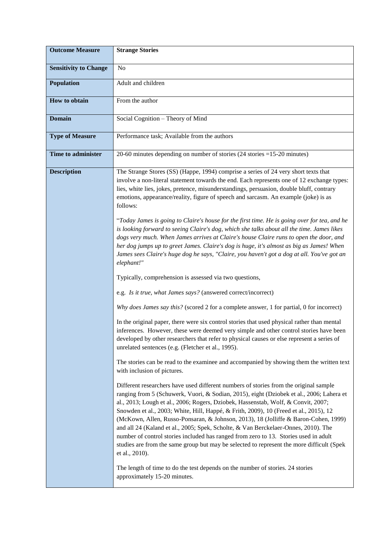| <b>Outcome Measure</b>       | <b>Strange Stories</b>                                                                                                                                                                                                                                                                                                                                                                                                                                                                                                                                                                                                                                                                                                                              |  |  |  |  |  |
|------------------------------|-----------------------------------------------------------------------------------------------------------------------------------------------------------------------------------------------------------------------------------------------------------------------------------------------------------------------------------------------------------------------------------------------------------------------------------------------------------------------------------------------------------------------------------------------------------------------------------------------------------------------------------------------------------------------------------------------------------------------------------------------------|--|--|--|--|--|
| <b>Sensitivity to Change</b> | N <sub>o</sub>                                                                                                                                                                                                                                                                                                                                                                                                                                                                                                                                                                                                                                                                                                                                      |  |  |  |  |  |
| <b>Population</b>            | Adult and children                                                                                                                                                                                                                                                                                                                                                                                                                                                                                                                                                                                                                                                                                                                                  |  |  |  |  |  |
| How to obtain                | From the author                                                                                                                                                                                                                                                                                                                                                                                                                                                                                                                                                                                                                                                                                                                                     |  |  |  |  |  |
| <b>Domain</b>                | Social Cognition - Theory of Mind                                                                                                                                                                                                                                                                                                                                                                                                                                                                                                                                                                                                                                                                                                                   |  |  |  |  |  |
| <b>Type of Measure</b>       | Performance task; Available from the authors                                                                                                                                                                                                                                                                                                                                                                                                                                                                                                                                                                                                                                                                                                        |  |  |  |  |  |
| <b>Time to administer</b>    | 20-60 minutes depending on number of stories $(24 \text{ stories} = 15{\text -}20 \text{ minutes})$                                                                                                                                                                                                                                                                                                                                                                                                                                                                                                                                                                                                                                                 |  |  |  |  |  |
| <b>Description</b>           | The Strange Stores (SS) (Happe, 1994) comprise a series of 24 very short texts that<br>involve a non-literal statement towards the end. Each represents one of 12 exchange types:<br>lies, white lies, jokes, pretence, misunderstandings, persuasion, double bluff, contrary<br>emotions, appearance/reality, figure of speech and sarcasm. An example (joke) is as<br>follows:                                                                                                                                                                                                                                                                                                                                                                    |  |  |  |  |  |
|                              | "Today James is going to Claire's house for the first time. He is going over for tea, and he<br>is looking forward to seeing Claire's dog, which she talks about all the time. James likes<br>dogs very much. When James arrives at Claire's house Claire runs to open the door, and<br>her dog jumps up to greet James. Claire's dog is huge, it's almost as big as James! When<br>James sees Claire's huge dog he says, "Claire, you haven't got a dog at all. You've got an<br>elephant!"                                                                                                                                                                                                                                                        |  |  |  |  |  |
|                              | Typically, comprehension is assessed via two questions,                                                                                                                                                                                                                                                                                                                                                                                                                                                                                                                                                                                                                                                                                             |  |  |  |  |  |
|                              | e.g. Is it true, what James says? (answered correct/incorrect)                                                                                                                                                                                                                                                                                                                                                                                                                                                                                                                                                                                                                                                                                      |  |  |  |  |  |
|                              | Why does James say this? (scored 2 for a complete answer, 1 for partial, 0 for incorrect)                                                                                                                                                                                                                                                                                                                                                                                                                                                                                                                                                                                                                                                           |  |  |  |  |  |
|                              | In the original paper, there were six control stories that used physical rather than mental<br>inferences. However, these were deemed very simple and other control stories have been<br>developed by other researchers that refer to physical causes or else represent a series of<br>unrelated sentences (e.g. (Fletcher et al., 1995).                                                                                                                                                                                                                                                                                                                                                                                                           |  |  |  |  |  |
|                              | The stories can be read to the examinee and accompanied by showing them the written text<br>with inclusion of pictures.                                                                                                                                                                                                                                                                                                                                                                                                                                                                                                                                                                                                                             |  |  |  |  |  |
|                              | Different researchers have used different numbers of stories from the original sample<br>ranging from 5 (Schuwerk, Vuori, & Sodian, 2015), eight (Dziobek et al., 2006; Lahera et<br>al., 2013; Lough et al., 2006; Rogers, Dziobek, Hassenstab, Wolf, & Convit, 2007;<br>Snowden et al., 2003; White, Hill, Happé, & Frith, 2009), 10 (Freed et al., 2015), 12<br>(McKown, Allen, Russo-Ponsaran, & Johnson, 2013), 18 (Jolliffe & Baron-Cohen, 1999)<br>and all 24 (Kaland et al., 2005; Spek, Scholte, & Van Berckelaer-Onnes, 2010). The<br>number of control stories included has ranged from zero to 13. Stories used in adult<br>studies are from the same group but may be selected to represent the more difficult (Spek<br>et al., 2010). |  |  |  |  |  |
|                              | The length of time to do the test depends on the number of stories. 24 stories<br>approximately 15-20 minutes.                                                                                                                                                                                                                                                                                                                                                                                                                                                                                                                                                                                                                                      |  |  |  |  |  |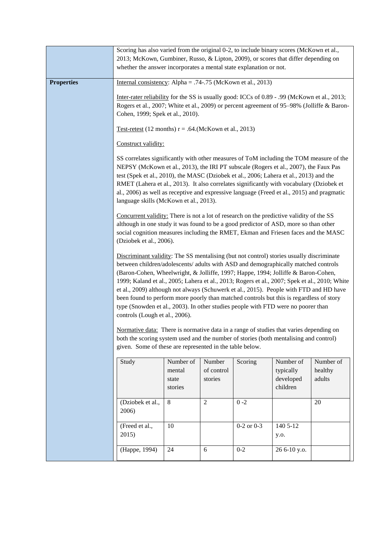|                   | Scoring has also varied from the original 0-2, to include binary scores (McKown et al.,<br>2013; McKown, Gumbiner, Russo, & Lipton, 2009), or scores that differ depending on<br>whether the answer incorporates a mental state explanation or not.                                                                                                                                                                                                                                                                                                                                                                                                                                                                                                                                                                                                                                                                             |                                         |                                 |                |                                                 |                                |  |  |  |
|-------------------|---------------------------------------------------------------------------------------------------------------------------------------------------------------------------------------------------------------------------------------------------------------------------------------------------------------------------------------------------------------------------------------------------------------------------------------------------------------------------------------------------------------------------------------------------------------------------------------------------------------------------------------------------------------------------------------------------------------------------------------------------------------------------------------------------------------------------------------------------------------------------------------------------------------------------------|-----------------------------------------|---------------------------------|----------------|-------------------------------------------------|--------------------------------|--|--|--|
| <b>Properties</b> | Internal consistency: Alpha = .74-.75 (McKown et al., 2013)                                                                                                                                                                                                                                                                                                                                                                                                                                                                                                                                                                                                                                                                                                                                                                                                                                                                     |                                         |                                 |                |                                                 |                                |  |  |  |
|                   | Inter-rater reliability for the SS is usually good: ICCs of 0.89 - .99 (McKown et al., 2013;<br>Rogers et al., 2007; White et al., 2009) or percent agreement of 95–98% (Jolliffe & Baron-<br>Cohen, 1999; Spek et al., 2010).                                                                                                                                                                                                                                                                                                                                                                                                                                                                                                                                                                                                                                                                                                  |                                         |                                 |                |                                                 |                                |  |  |  |
|                   | Test-retest (12 months) $r = .64$ . (McKown et al., 2013)                                                                                                                                                                                                                                                                                                                                                                                                                                                                                                                                                                                                                                                                                                                                                                                                                                                                       |                                         |                                 |                |                                                 |                                |  |  |  |
|                   | Construct validity:                                                                                                                                                                                                                                                                                                                                                                                                                                                                                                                                                                                                                                                                                                                                                                                                                                                                                                             |                                         |                                 |                |                                                 |                                |  |  |  |
|                   | SS correlates significantly with other measures of ToM including the TOM measure of the<br>NEPSY (McKown et al., 2013), the IRI PT subscale (Rogers et al., 2007), the Faux Pas<br>test (Spek et al., 2010), the MASC (Dziobek et al., 2006; Lahera et al., 2013) and the<br>RMET (Lahera et al., 2013). It also correlates significantly with vocabulary (Dziobek et<br>al., 2006) as well as receptive and expressive language (Freed et al., 2015) and pragmatic<br>language skills (McKown et al., 2013).                                                                                                                                                                                                                                                                                                                                                                                                                   |                                         |                                 |                |                                                 |                                |  |  |  |
|                   | Concurrent validity: There is not a lot of research on the predictive validity of the SS<br>although in one study it was found to be a good predictor of ASD, more so than other<br>social cognition measures including the RMET, Ekman and Friesen faces and the MASC<br>(Dziobek et al., 2006).                                                                                                                                                                                                                                                                                                                                                                                                                                                                                                                                                                                                                               |                                         |                                 |                |                                                 |                                |  |  |  |
|                   | Discriminant validity: The SS mentalising (but not control) stories usually discriminate<br>between children/adolescents/ adults with ASD and demographically matched controls<br>(Baron-Cohen, Wheelwright, & Jolliffe, 1997; Happe, 1994; Jolliffe & Baron-Cohen,<br>1999; Kaland et al., 2005; Lahera et al., 2013; Rogers et al., 2007; Spek et al., 2010; White<br>et al., 2009) although not always (Schuwerk et al., 2015). People with FTD and HD have<br>been found to perform more poorly than matched controls but this is regardless of story<br>type (Snowden et al., 2003). In other studies people with FTD were no poorer than<br>controls (Lough et al., 2006).<br>Normative data: There is normative data in a range of studies that varies depending on<br>both the scoring system used and the number of stories (both mentalising and control)<br>given. Some of these are represented in the table below. |                                         |                                 |                |                                                 |                                |  |  |  |
|                   |                                                                                                                                                                                                                                                                                                                                                                                                                                                                                                                                                                                                                                                                                                                                                                                                                                                                                                                                 |                                         |                                 |                |                                                 |                                |  |  |  |
|                   | Study                                                                                                                                                                                                                                                                                                                                                                                                                                                                                                                                                                                                                                                                                                                                                                                                                                                                                                                           | Number of<br>mental<br>state<br>stories | Number<br>of control<br>stories | Scoring        | Number of<br>typically<br>developed<br>children | Number of<br>healthy<br>adults |  |  |  |
|                   | (Dziobek et al.,<br>2006)                                                                                                                                                                                                                                                                                                                                                                                                                                                                                                                                                                                                                                                                                                                                                                                                                                                                                                       | $8\,$                                   | 2                               | $0 - 2$        |                                                 | 20                             |  |  |  |
|                   | (Freed et al.,<br>2015)                                                                                                                                                                                                                                                                                                                                                                                                                                                                                                                                                                                                                                                                                                                                                                                                                                                                                                         | 10                                      |                                 | $0-2$ or $0-3$ | 140 5-12<br>y.o.                                |                                |  |  |  |
|                   | (Happe, 1994)                                                                                                                                                                                                                                                                                                                                                                                                                                                                                                                                                                                                                                                                                                                                                                                                                                                                                                                   | 24                                      | 6                               | $0 - 2$        | 26 6-10 y.o.                                    |                                |  |  |  |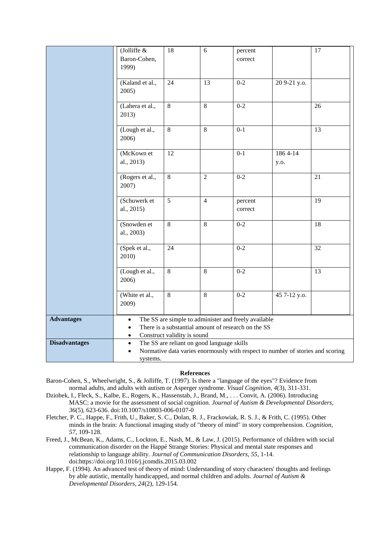|                      | (Jolliffe &                                                                                                                                                                       | 18             | 6              | percent            |                 | 17              |  |  |
|----------------------|-----------------------------------------------------------------------------------------------------------------------------------------------------------------------------------|----------------|----------------|--------------------|-----------------|-----------------|--|--|
|                      | Baron-Cohen,<br>1999)                                                                                                                                                             |                |                | correct            |                 |                 |  |  |
|                      | (Kaland et al.,<br>2005)                                                                                                                                                          | 24             | 13             | $0 - 2$            | 20 9-21 y.o.    |                 |  |  |
|                      | (Lahera et al.,<br>2013)                                                                                                                                                          | 8              | 8              | $0 - 2$            |                 | 26              |  |  |
|                      | (Lough et al.,<br>2006)                                                                                                                                                           | 8              | $8\,$          | $0 - 1$            |                 | 13              |  |  |
|                      | (McKown et<br>al., 2013)                                                                                                                                                          | 12             |                | $0 - 1$            | 1864-14<br>y.o. |                 |  |  |
|                      | (Rogers et al.,<br>2007)                                                                                                                                                          | 8              | $\overline{2}$ | $0 - 2$            |                 | 21              |  |  |
|                      | (Schuwerk et<br>al., 2015)                                                                                                                                                        | $\overline{5}$ | $\overline{4}$ | percent<br>correct |                 | 19              |  |  |
|                      | (Snowden et<br>al., 2003)                                                                                                                                                         | $8\,$          | 8              | $0 - 2$            |                 | 18              |  |  |
|                      | (Spek et al.,<br>2010)                                                                                                                                                            | 24             |                | $0 - 2$            |                 | $\overline{32}$ |  |  |
|                      | (Lough et al.,<br>2006)                                                                                                                                                           | 8              | 8              | $0 - 2$            |                 | 13              |  |  |
|                      | (White et al.,<br>2009)                                                                                                                                                           | 8              | 8              | $0 - 2$            | 45 7-12 y.o.    |                 |  |  |
| <b>Advantages</b>    | The SS are simple to administer and freely available<br>$\bullet$<br>There is a substantial amount of research on the SS<br>$\bullet$<br>Construct validity is sound<br>$\bullet$ |                |                |                    |                 |                 |  |  |
| <b>Disadvantages</b> | The SS are reliant on good language skills<br>$\bullet$<br>Normative data varies enormously with respect to number of stories and scoring<br>systems.                             |                |                |                    |                 |                 |  |  |

## **References**

- Baron-Cohen, S., Wheelwright, S., & Jolliffe, T. (1997). Is there a "language of the eyes"? Evidence from normal adults, and adults with autism or Asperger syndrome. *Visual Cognition, 4*(3), 311-331.
- Dziobek, I., Fleck, S., Kalbe, E., Rogers, K., Hassenstab, J., Brand, M., . . . Convit, A. (2006). Introducing MASC: a movie for the assessment of social cognition. *Journal of Autism & Developmental Disorders, 36*(5), 623-636. doi:10.1007/s10803-006-0107-0
- Fletcher, P. C., Happe, F., Frith, U., Baker, S. C., Dolan, R. J., Frackowiak, R. S. J., & Frith, C. (1995). Other minds in the brain: A functional imaging study of "theory of mind" in story comprehension. *Cognition, 57*, 109-128.
- Freed, J., McBean, K., Adams, C., Lockton, E., Nash, M., & Law, J. (2015). Performance of children with social communication disorder on the Happé Strange Stories: Physical and mental state responses and relationship to language ability. *Journal of Communication Disorders, 55*, 1-14. doi:https://doi.org/10.1016/j.jcomdis.2015.03.002
- Happe, F. (1994). An advanced test of theory of mind: Understanding of story characters' thoughts and feelings by able autistic, mentally handicapped, and normal children and adults. *Journal of Autism & Developmental Disorders, 24*(2), 129-154.